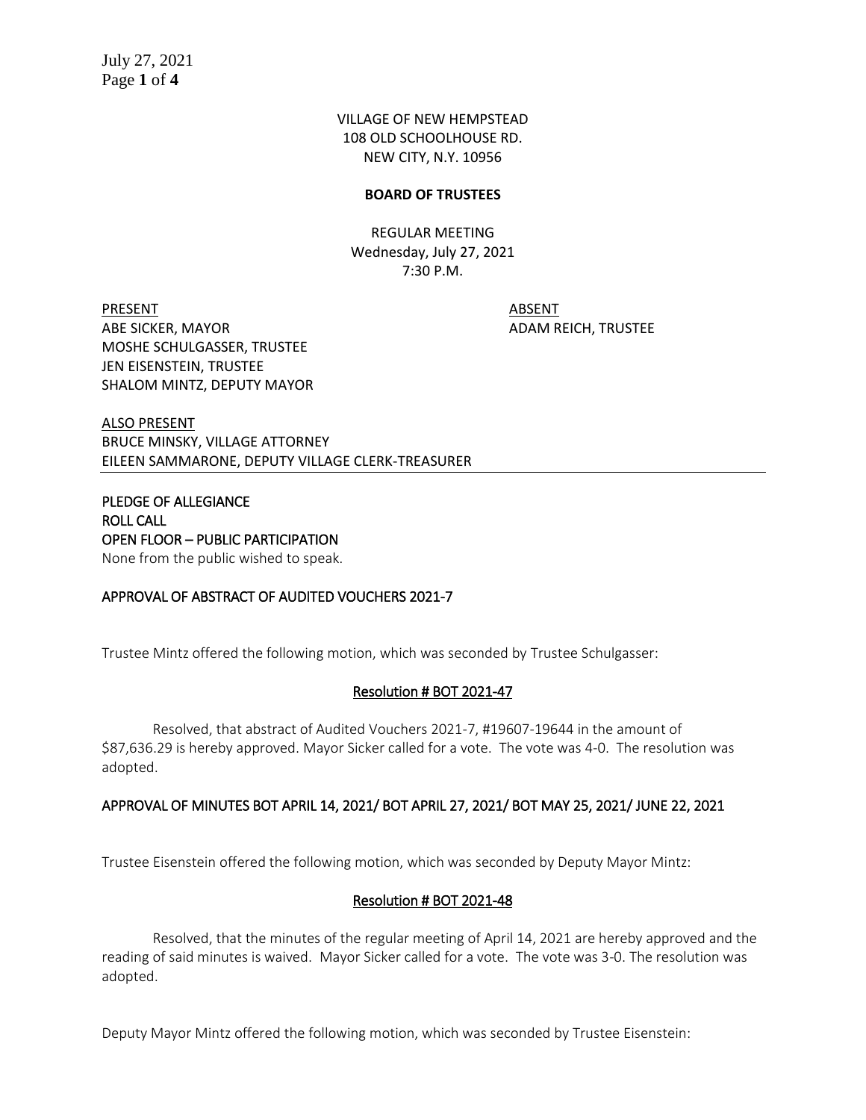VILLAGE OF NEW HEMPSTEAD 108 OLD SCHOOLHOUSE RD. NEW CITY, N.Y. 10956

### **BOARD OF TRUSTEES**

REGULAR MEETING Wednesday, July 27, 2021 7:30 P.M.

PRESENT ABSENT ABE SICKER, MAYOR ADAM REICH, TRUSTEE MOSHE SCHULGASSER, TRUSTEE JEN EISENSTEIN, TRUSTEE SHALOM MINTZ, DEPUTY MAYOR

ALSO PRESENT BRUCE MINSKY, VILLAGE ATTORNEY EILEEN SAMMARONE, DEPUTY VILLAGE CLERK-TREASURER

PLEDGE OF ALLEGIANCE ROLL CALL OPEN FLOOR – PUBLIC PARTICIPATION None from the public wished to speak.

### APPROVAL OF ABSTRACT OF AUDITED VOUCHERS 2021-7

Trustee Mintz offered the following motion, which was seconded by Trustee Schulgasser:

### Resolution # BOT 2021-47

Resolved, that abstract of Audited Vouchers 2021-7, #19607-19644 in the amount of \$87,636.29 is hereby approved. Mayor Sicker called for a vote. The vote was 4-0. The resolution was adopted.

#### APPROVAL OF MINUTES BOT APRIL 14, 2021/ BOT APRIL 27, 2021/ BOT MAY 25, 2021/ JUNE 22, 2021

Trustee Eisenstein offered the following motion, which was seconded by Deputy Mayor Mintz:

#### Resolution # BOT 2021-48

Resolved, that the minutes of the regular meeting of April 14, 2021 are hereby approved and the reading of said minutes is waived. Mayor Sicker called for a vote. The vote was 3-0. The resolution was adopted.

Deputy Mayor Mintz offered the following motion, which was seconded by Trustee Eisenstein: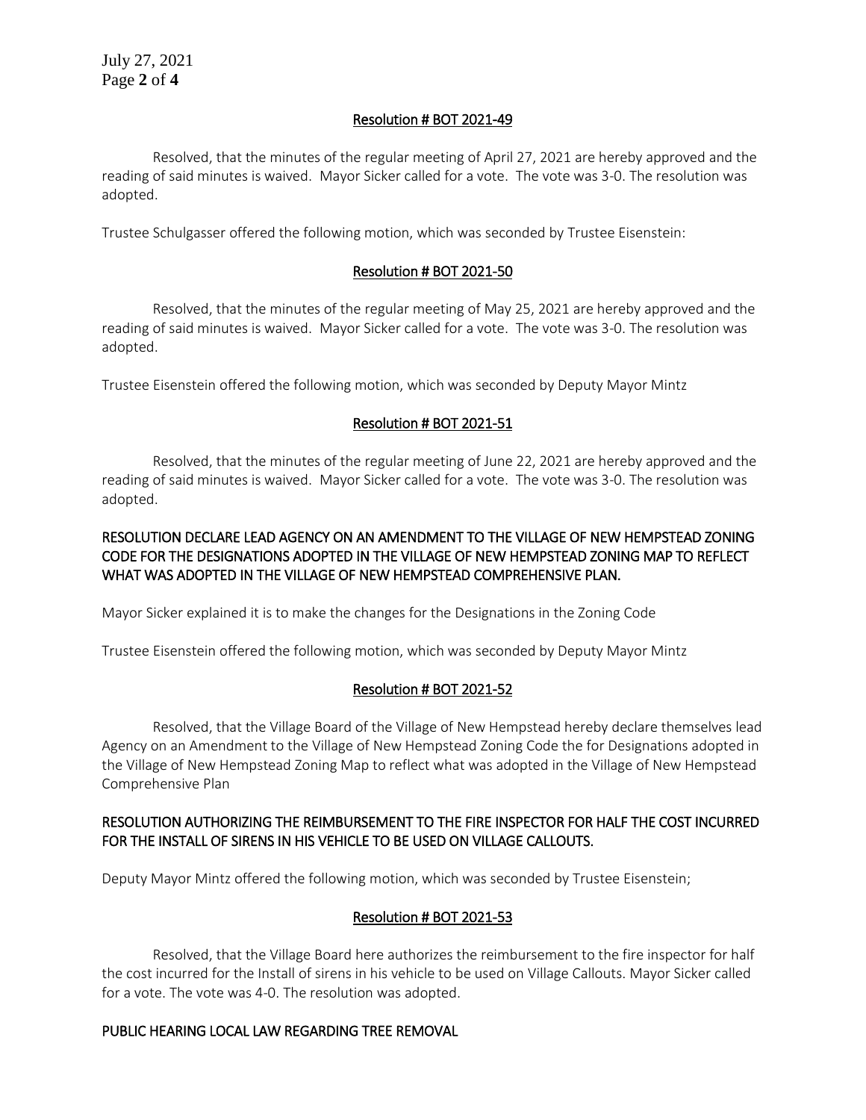# Resolution # BOT 2021-49

Resolved, that the minutes of the regular meeting of April 27, 2021 are hereby approved and the reading of said minutes is waived. Mayor Sicker called for a vote. The vote was 3-0. The resolution was adopted.

Trustee Schulgasser offered the following motion, which was seconded by Trustee Eisenstein:

# Resolution # BOT 2021-50

Resolved, that the minutes of the regular meeting of May 25, 2021 are hereby approved and the reading of said minutes is waived. Mayor Sicker called for a vote. The vote was 3-0. The resolution was adopted.

Trustee Eisenstein offered the following motion, which was seconded by Deputy Mayor Mintz

# Resolution # BOT 2021-51

Resolved, that the minutes of the regular meeting of June 22, 2021 are hereby approved and the reading of said minutes is waived. Mayor Sicker called for a vote. The vote was 3-0. The resolution was adopted.

# RESOLUTION DECLARE LEAD AGENCY ON AN AMENDMENT TO THE VILLAGE OF NEW HEMPSTEAD ZONING CODE FOR THE DESIGNATIONS ADOPTED IN THE VILLAGE OF NEW HEMPSTEAD ZONING MAP TO REFLECT WHAT WAS ADOPTED IN THE VILLAGE OF NEW HEMPSTEAD COMPREHENSIVE PLAN.

Mayor Sicker explained it is to make the changes for the Designations in the Zoning Code

Trustee Eisenstein offered the following motion, which was seconded by Deputy Mayor Mintz

# Resolution # BOT 2021-52

Resolved, that the Village Board of the Village of New Hempstead hereby declare themselves lead Agency on an Amendment to the Village of New Hempstead Zoning Code the for Designations adopted in the Village of New Hempstead Zoning Map to reflect what was adopted in the Village of New Hempstead Comprehensive Plan

# RESOLUTION AUTHORIZING THE REIMBURSEMENT TO THE FIRE INSPECTOR FOR HALF THE COST INCURRED FOR THE INSTALL OF SIRENS IN HIS VEHICLE TO BE USED ON VILLAGE CALLOUTS.

Deputy Mayor Mintz offered the following motion, which was seconded by Trustee Eisenstein;

# Resolution # BOT 2021-53

Resolved, that the Village Board here authorizes the reimbursement to the fire inspector for half the cost incurred for the Install of sirens in his vehicle to be used on Village Callouts. Mayor Sicker called for a vote. The vote was 4-0. The resolution was adopted.

### PUBLIC HEARING LOCAL LAW REGARDING TREE REMOVAL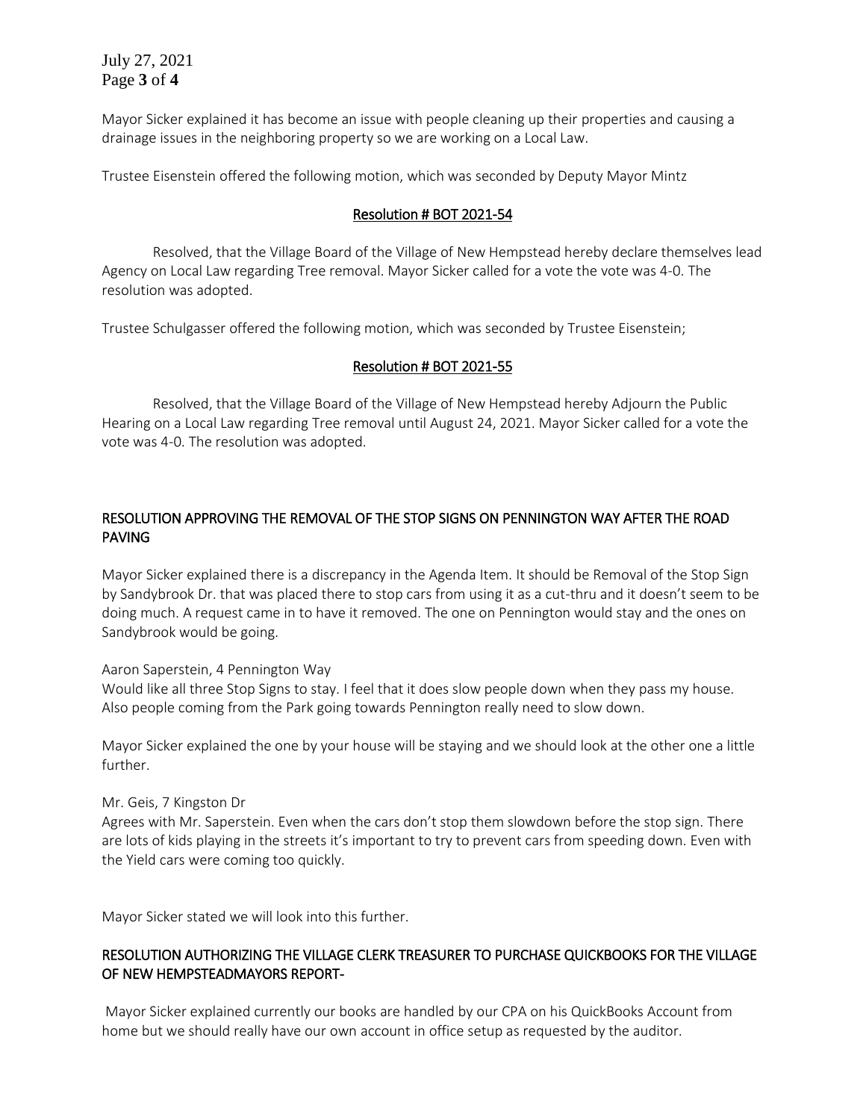July 27, 2021 Page **3** of **4**

Mayor Sicker explained it has become an issue with people cleaning up their properties and causing a drainage issues in the neighboring property so we are working on a Local Law.

Trustee Eisenstein offered the following motion, which was seconded by Deputy Mayor Mintz

### Resolution # BOT 2021-54

Resolved, that the Village Board of the Village of New Hempstead hereby declare themselves lead Agency on Local Law regarding Tree removal. Mayor Sicker called for a vote the vote was 4-0. The resolution was adopted.

Trustee Schulgasser offered the following motion, which was seconded by Trustee Eisenstein;

### Resolution # BOT 2021-55

Resolved, that the Village Board of the Village of New Hempstead hereby Adjourn the Public Hearing on a Local Law regarding Tree removal until August 24, 2021. Mayor Sicker called for a vote the vote was 4-0. The resolution was adopted.

# RESOLUTION APPROVING THE REMOVAL OF THE STOP SIGNS ON PENNINGTON WAY AFTER THE ROAD PAVING

Mayor Sicker explained there is a discrepancy in the Agenda Item. It should be Removal of the Stop Sign by Sandybrook Dr. that was placed there to stop cars from using it as a cut-thru and it doesn't seem to be doing much. A request came in to have it removed. The one on Pennington would stay and the ones on Sandybrook would be going.

Aaron Saperstein, 4 Pennington Way

Would like all three Stop Signs to stay. I feel that it does slow people down when they pass my house. Also people coming from the Park going towards Pennington really need to slow down.

Mayor Sicker explained the one by your house will be staying and we should look at the other one a little further.

### Mr. Geis, 7 Kingston Dr

Agrees with Mr. Saperstein. Even when the cars don't stop them slowdown before the stop sign. There are lots of kids playing in the streets it's important to try to prevent cars from speeding down. Even with the Yield cars were coming too quickly.

Mayor Sicker stated we will look into this further.

## RESOLUTION AUTHORIZING THE VILLAGE CLERK TREASURER TO PURCHASE QUICKBOOKS FOR THE VILLAGE OF NEW HEMPSTEADMAYORS REPORT-

 Mayor Sicker explained currently our books are handled by our CPA on his QuickBooks Account from home but we should really have our own account in office setup as requested by the auditor.